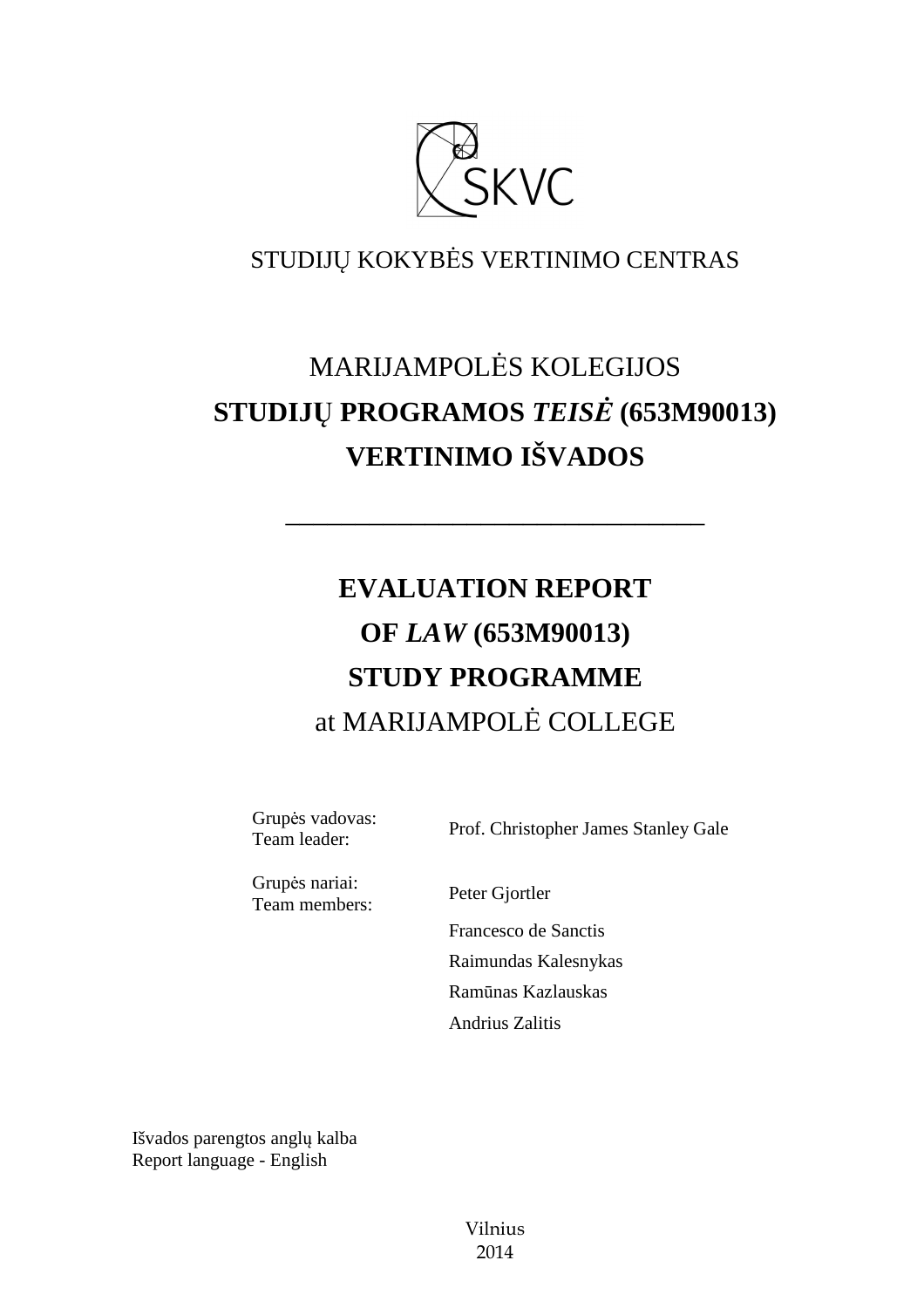

# STUDIJŲ KOKYBĖS VERTINIMO CENTRAS

# MARIJAMPOLĖS KOLEGIJOS **STUDIJŲ PROGRAMOS** *TEISĖ* **(653M90013) VERTINIMO IŠVADOS**

––––––––––––––––––––––––––––––

# **EVALUATION REPORT OF** *LAW* **(653M90013) STUDY PROGRAMME** at MARIJAMPOLĖ COLLEGE

Grupės vadovas: Team leader: Prof. Christopher James Stanley Gale

Grupės nariai: Team members: Peter Gjortler

 Francesco de Sanctis Raimundas Kalesnykas Ramūnas Kazlauskas Andrius Zalitis

Išvados parengtos anglų kalba Report language - English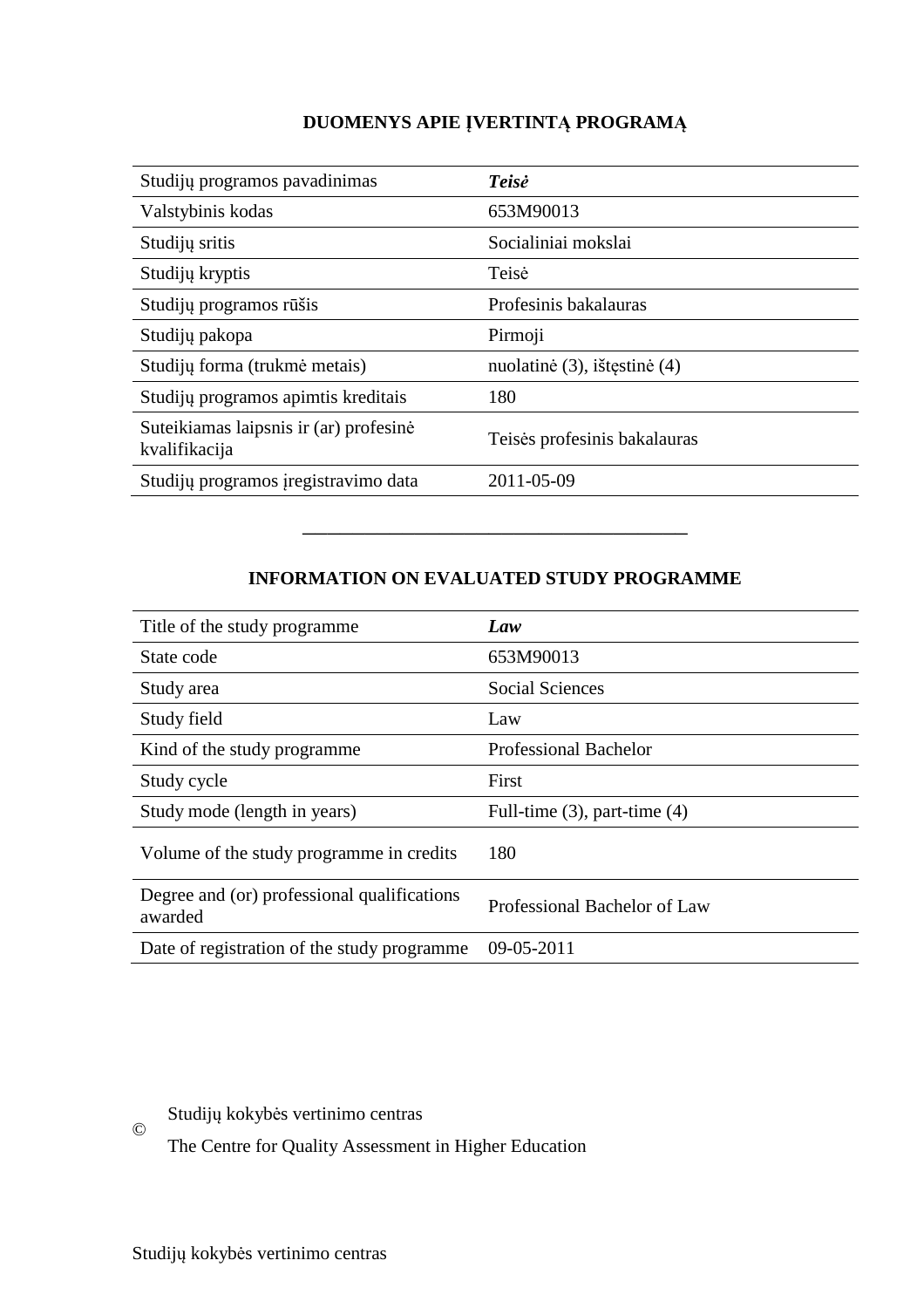# **DUOMENYS APIE ĮVERTINTĄ PROGRAMĄ**

| Studijų programos pavadinimas                           | <b>Teisė</b>                 |
|---------------------------------------------------------|------------------------------|
| Valstybinis kodas                                       | 653M90013                    |
| Studijų sritis                                          | Socialiniai mokslai          |
| Studijų kryptis                                         | Teisė                        |
| Studijų programos rūšis                                 | Profesinis bakalauras        |
| Studijų pakopa                                          | Pirmoji                      |
| Studijų forma (trukmė metais)                           | nuolatinė (3), ištęstinė (4) |
| Studijų programos apimtis kreditais                     | 180                          |
| Suteikiamas laipsnis ir (ar) profesinė<br>kvalifikacija | Teisės profesinis bakalauras |
| Studijų programos įregistravimo data                    | 2011-05-09                   |

## **INFORMATION ON EVALUATED STUDY PROGRAMME**

–––––––––––––––––––––––––––––––

| Title of the study programme.                          | Law                               |
|--------------------------------------------------------|-----------------------------------|
| State code                                             | 653M90013                         |
| Study area                                             | <b>Social Sciences</b>            |
| Study field                                            | Law                               |
| Kind of the study programme.                           | <b>Professional Bachelor</b>      |
| Study cycle                                            | First                             |
| Study mode (length in years)                           | Full-time $(3)$ , part-time $(4)$ |
| Volume of the study programme in credits               | 180                               |
| Degree and (or) professional qualifications<br>awarded | Professional Bachelor of Law      |
| Date of registration of the study programme            | 09-05-2011                        |

© Studijų kokybės vertinimo centras

The Centre for Quality Assessment in Higher Education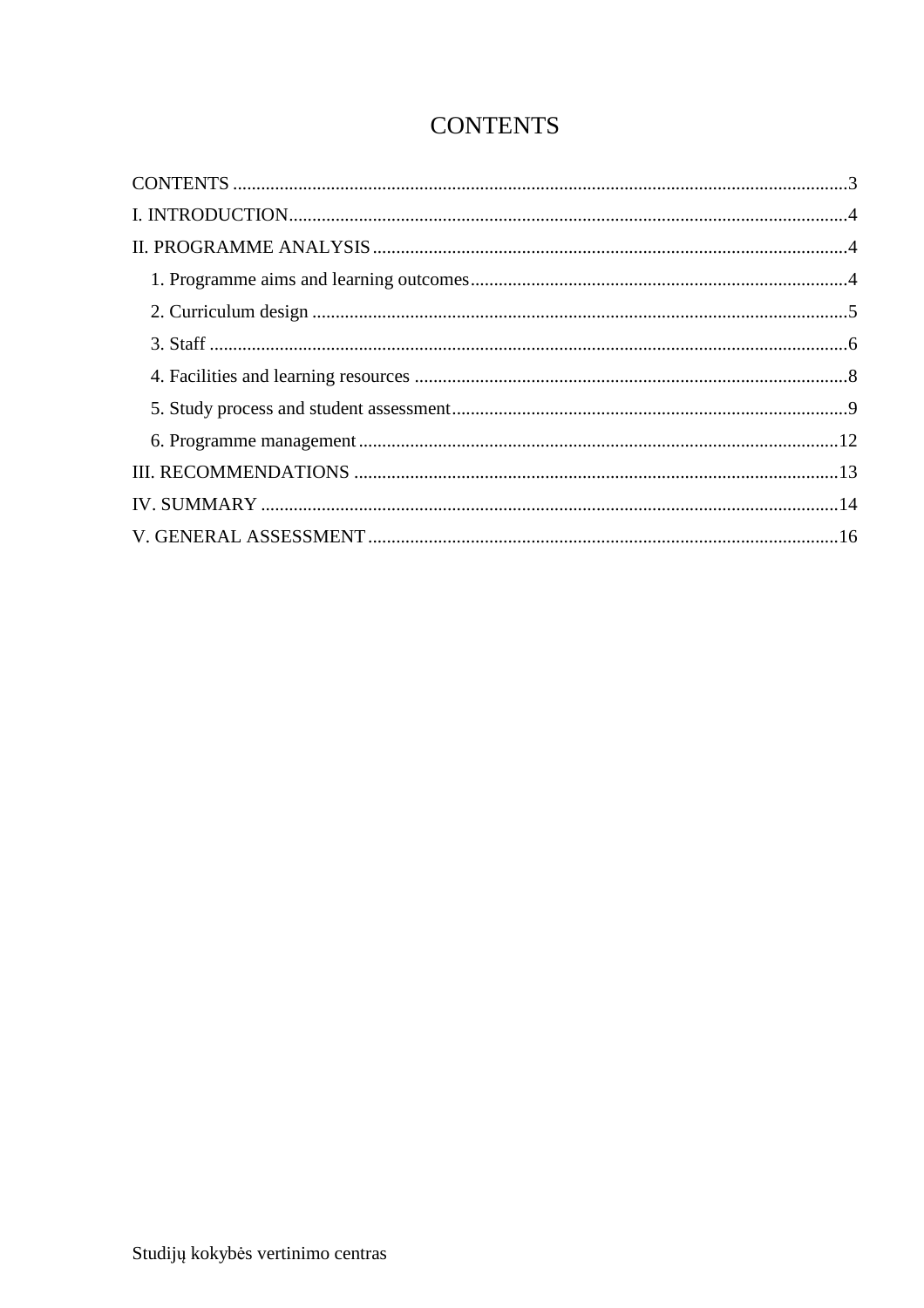# **CONTENTS**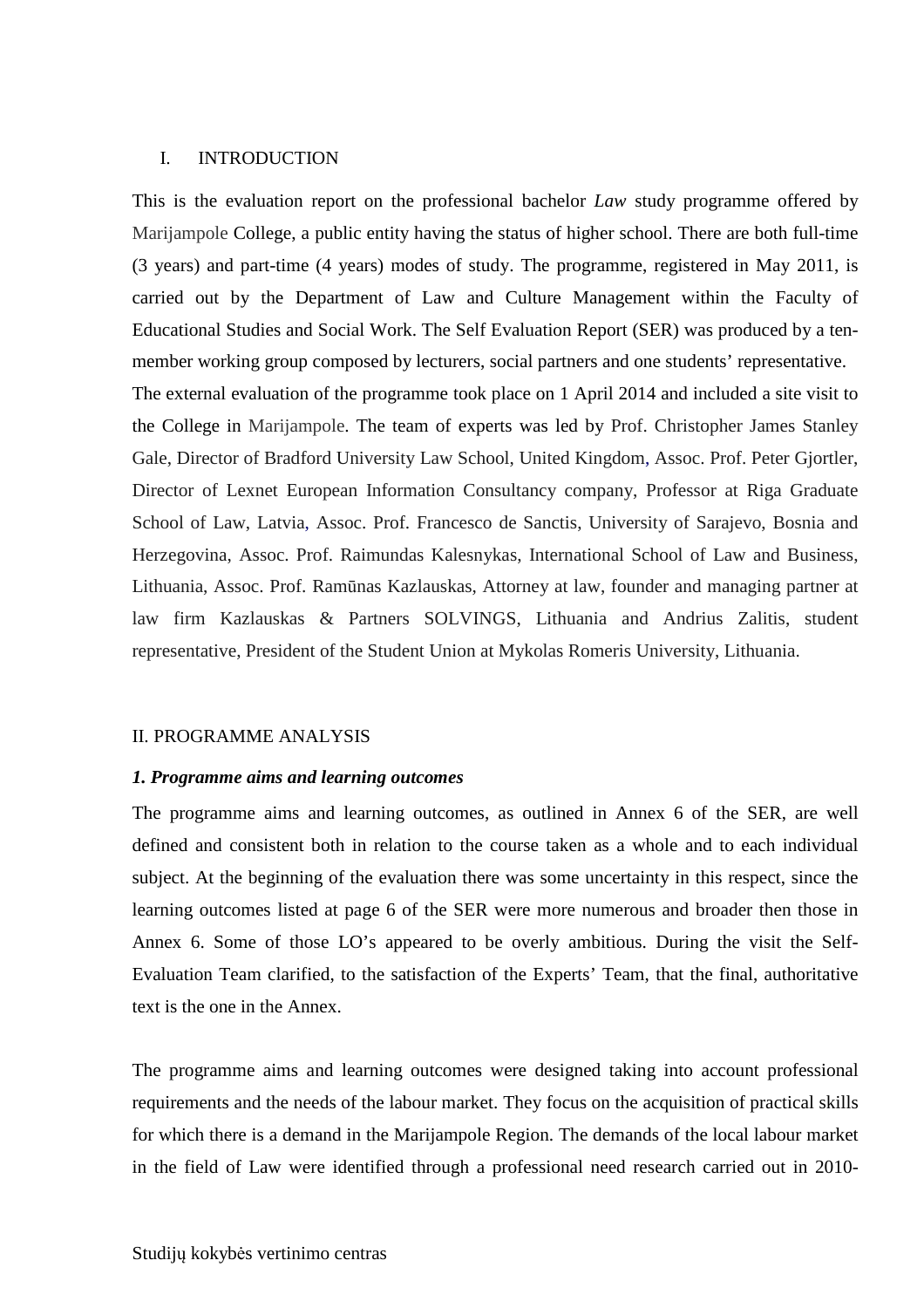#### I. INTRODUCTION

This is the evaluation report on the professional bachelor *Law* study programme offered by Marijampole College, a public entity having the status of higher school. There are both full-time (3 years) and part-time (4 years) modes of study. The programme, registered in May 2011, is carried out by the Department of Law and Culture Management within the Faculty of Educational Studies and Social Work. The Self Evaluation Report (SER) was produced by a tenmember working group composed by lecturers, social partners and one students' representative. The external evaluation of the programme took place on 1 April 2014 and included a site visit to the College in Marijampole. The team of experts was led by Prof. Christopher James Stanley Gale, Director of Bradford University Law School, United Kingdom, Assoc. Prof. Peter Gjortler, Director of Lexnet European Information Consultancy company, Professor at Riga Graduate School of Law, Latvia, Assoc. Prof. Francesco de Sanctis, University of Sarajevo, Bosnia and Herzegovina, Assoc. Prof. Raimundas Kalesnykas, International School of Law and Business, Lithuania, Assoc. Prof. Ramūnas Kazlauskas, Attorney at law, founder and managing partner at law firm Kazlauskas & Partners SOLVINGS, Lithuania and Andrius Zalitis, student representative, President of the Student Union at Mykolas Romeris University, Lithuania.

#### II. PROGRAMME ANALYSIS

#### *1. Programme aims and learning outcomes*

The programme aims and learning outcomes, as outlined in Annex 6 of the SER, are well defined and consistent both in relation to the course taken as a whole and to each individual subject. At the beginning of the evaluation there was some uncertainty in this respect, since the learning outcomes listed at page 6 of the SER were more numerous and broader then those in Annex 6. Some of those LO's appeared to be overly ambitious. During the visit the Self-Evaluation Team clarified, to the satisfaction of the Experts' Team, that the final, authoritative text is the one in the Annex.

The programme aims and learning outcomes were designed taking into account professional requirements and the needs of the labour market. They focus on the acquisition of practical skills for which there is a demand in the Marijampole Region. The demands of the local labour market in the field of Law were identified through a professional need research carried out in 2010-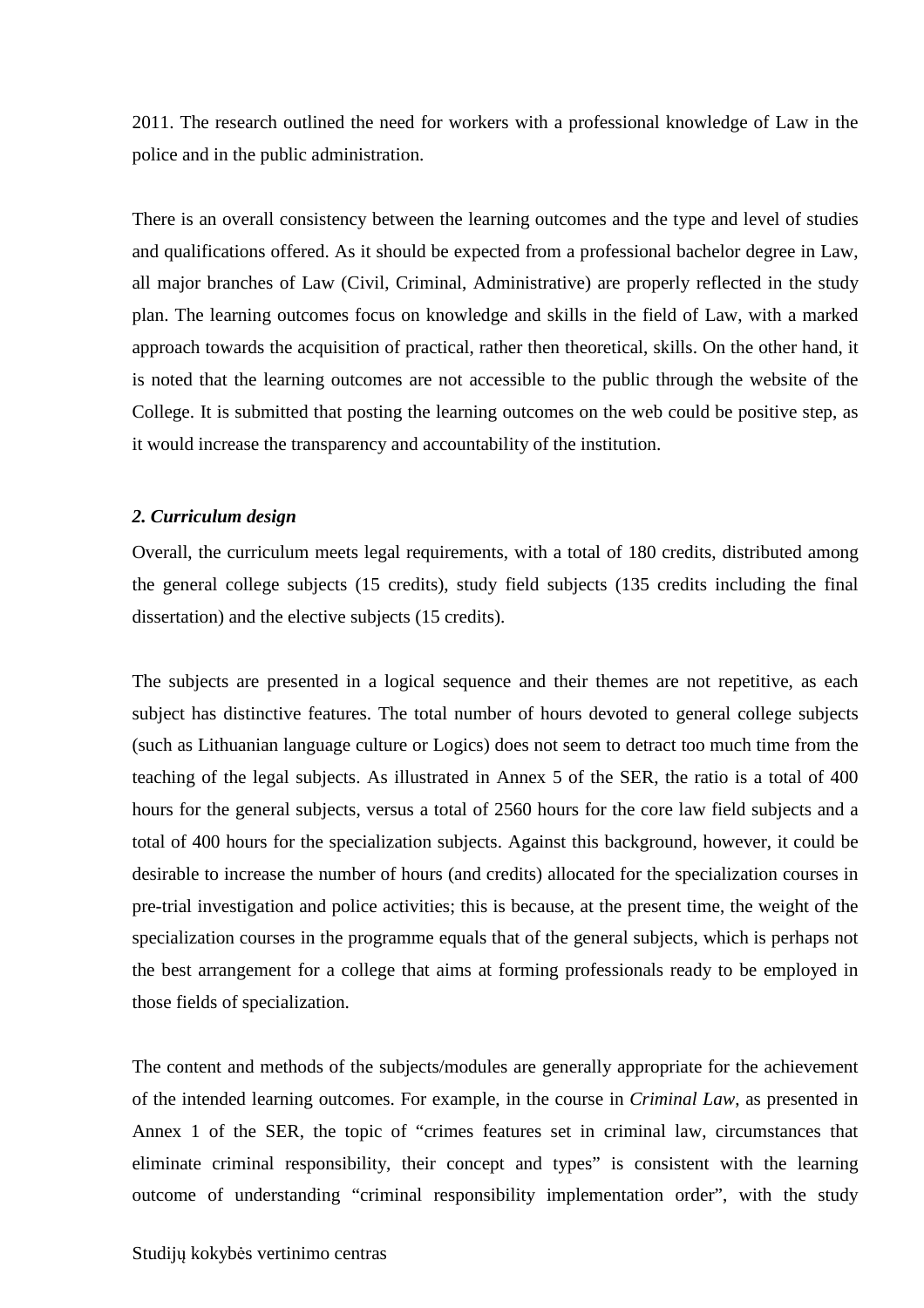2011. The research outlined the need for workers with a professional knowledge of Law in the police and in the public administration.

There is an overall consistency between the learning outcomes and the type and level of studies and qualifications offered. As it should be expected from a professional bachelor degree in Law, all major branches of Law (Civil, Criminal, Administrative) are properly reflected in the study plan. The learning outcomes focus on knowledge and skills in the field of Law, with a marked approach towards the acquisition of practical, rather then theoretical, skills. On the other hand, it is noted that the learning outcomes are not accessible to the public through the website of the College. It is submitted that posting the learning outcomes on the web could be positive step, as it would increase the transparency and accountability of the institution.

#### *2. Curriculum design*

Overall, the curriculum meets legal requirements, with a total of 180 credits, distributed among the general college subjects (15 credits), study field subjects (135 credits including the final dissertation) and the elective subjects (15 credits).

The subjects are presented in a logical sequence and their themes are not repetitive, as each subject has distinctive features. The total number of hours devoted to general college subjects (such as Lithuanian language culture or Logics) does not seem to detract too much time from the teaching of the legal subjects. As illustrated in Annex 5 of the SER, the ratio is a total of 400 hours for the general subjects, versus a total of 2560 hours for the core law field subjects and a total of 400 hours for the specialization subjects. Against this background, however, it could be desirable to increase the number of hours (and credits) allocated for the specialization courses in pre-trial investigation and police activities; this is because, at the present time, the weight of the specialization courses in the programme equals that of the general subjects, which is perhaps not the best arrangement for a college that aims at forming professionals ready to be employed in those fields of specialization.

The content and methods of the subjects/modules are generally appropriate for the achievement of the intended learning outcomes. For example, in the course in *Criminal Law*, as presented in Annex 1 of the SER, the topic of "crimes features set in criminal law, circumstances that eliminate criminal responsibility, their concept and types" is consistent with the learning outcome of understanding "criminal responsibility implementation order", with the study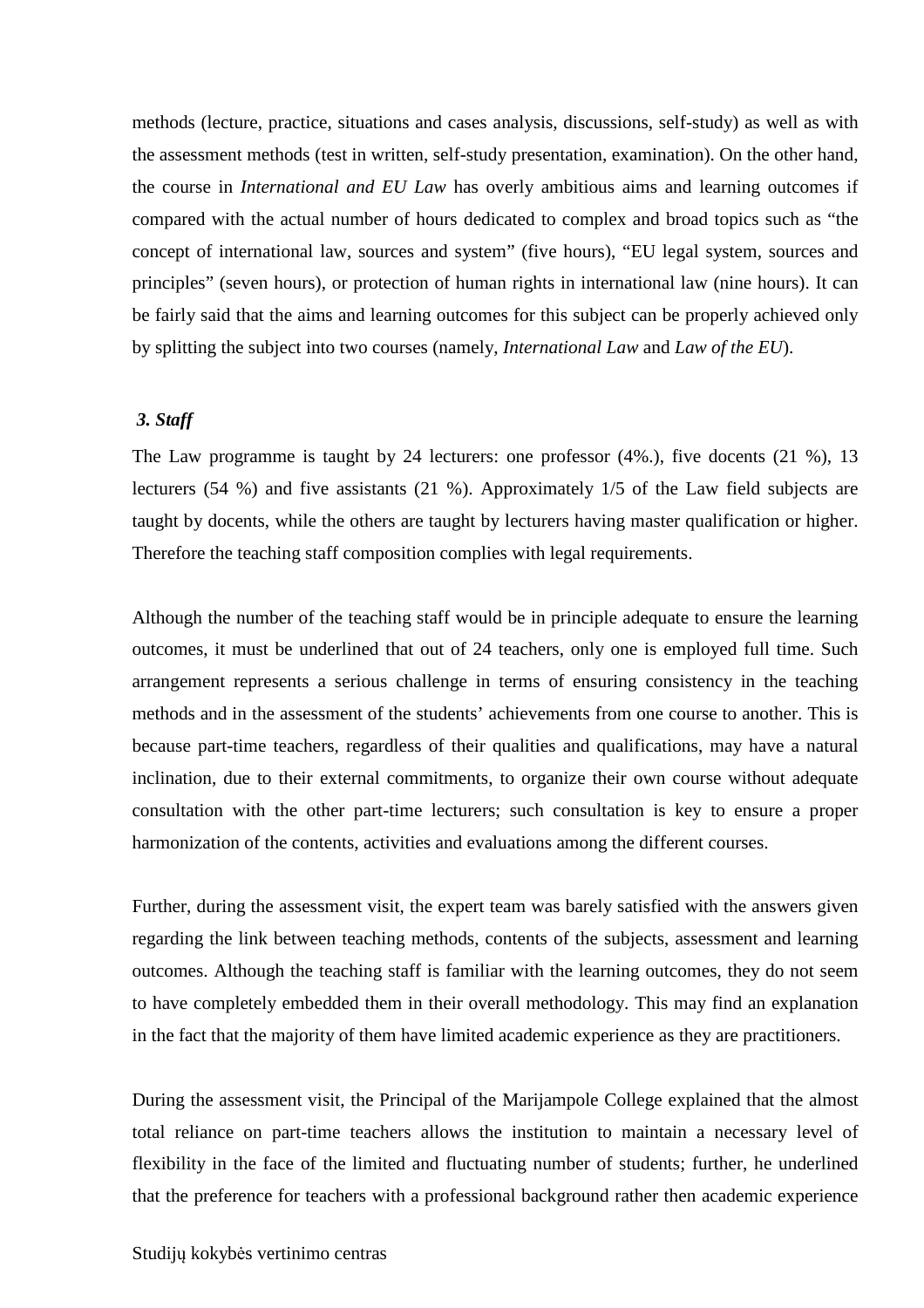methods (lecture, practice, situations and cases analysis, discussions, self-study) as well as with the assessment methods (test in written, self-study presentation, examination). On the other hand, the course in *International and EU Law* has overly ambitious aims and learning outcomes if compared with the actual number of hours dedicated to complex and broad topics such as "the concept of international law, sources and system" (five hours), "EU legal system, sources and principles" (seven hours), or protection of human rights in international law (nine hours). It can be fairly said that the aims and learning outcomes for this subject can be properly achieved only by splitting the subject into two courses (namely, *International Law* and *Law of the EU*).

### *3. Staff*

The Law programme is taught by 24 lecturers: one professor (4%.), five docents (21 %), 13 lecturers (54 %) and five assistants (21 %). Approximately 1/5 of the Law field subjects are taught by docents, while the others are taught by lecturers having master qualification or higher. Therefore the teaching staff composition complies with legal requirements.

Although the number of the teaching staff would be in principle adequate to ensure the learning outcomes, it must be underlined that out of 24 teachers, only one is employed full time. Such arrangement represents a serious challenge in terms of ensuring consistency in the teaching methods and in the assessment of the students' achievements from one course to another. This is because part-time teachers, regardless of their qualities and qualifications, may have a natural inclination, due to their external commitments, to organize their own course without adequate consultation with the other part-time lecturers; such consultation is key to ensure a proper harmonization of the contents, activities and evaluations among the different courses.

Further, during the assessment visit, the expert team was barely satisfied with the answers given regarding the link between teaching methods, contents of the subjects, assessment and learning outcomes. Although the teaching staff is familiar with the learning outcomes, they do not seem to have completely embedded them in their overall methodology. This may find an explanation in the fact that the majority of them have limited academic experience as they are practitioners.

During the assessment visit, the Principal of the Marijampole College explained that the almost total reliance on part-time teachers allows the institution to maintain a necessary level of flexibility in the face of the limited and fluctuating number of students; further, he underlined that the preference for teachers with a professional background rather then academic experience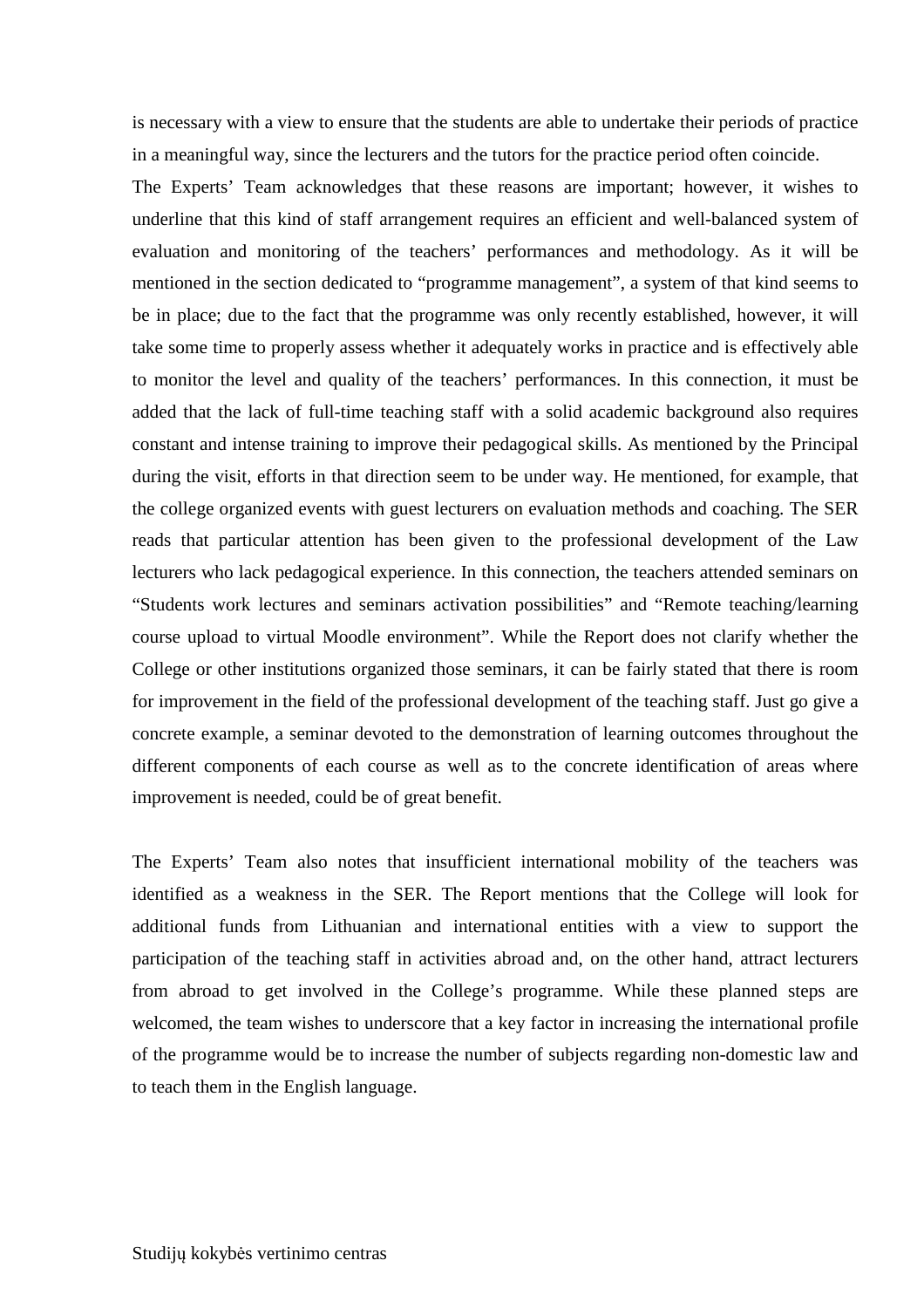is necessary with a view to ensure that the students are able to undertake their periods of practice in a meaningful way, since the lecturers and the tutors for the practice period often coincide.

The Experts' Team acknowledges that these reasons are important; however, it wishes to underline that this kind of staff arrangement requires an efficient and well-balanced system of evaluation and monitoring of the teachers' performances and methodology. As it will be mentioned in the section dedicated to "programme management", a system of that kind seems to be in place; due to the fact that the programme was only recently established, however, it will take some time to properly assess whether it adequately works in practice and is effectively able to monitor the level and quality of the teachers' performances. In this connection, it must be added that the lack of full-time teaching staff with a solid academic background also requires constant and intense training to improve their pedagogical skills. As mentioned by the Principal during the visit, efforts in that direction seem to be under way. He mentioned, for example, that the college organized events with guest lecturers on evaluation methods and coaching. The SER reads that particular attention has been given to the professional development of the Law lecturers who lack pedagogical experience. In this connection, the teachers attended seminars on "Students work lectures and seminars activation possibilities" and "Remote teaching/learning course upload to virtual Moodle environment". While the Report does not clarify whether the College or other institutions organized those seminars, it can be fairly stated that there is room for improvement in the field of the professional development of the teaching staff. Just go give a concrete example, a seminar devoted to the demonstration of learning outcomes throughout the different components of each course as well as to the concrete identification of areas where improvement is needed, could be of great benefit.

The Experts' Team also notes that insufficient international mobility of the teachers was identified as a weakness in the SER. The Report mentions that the College will look for additional funds from Lithuanian and international entities with a view to support the participation of the teaching staff in activities abroad and, on the other hand, attract lecturers from abroad to get involved in the College's programme. While these planned steps are welcomed, the team wishes to underscore that a key factor in increasing the international profile of the programme would be to increase the number of subjects regarding non-domestic law and to teach them in the English language.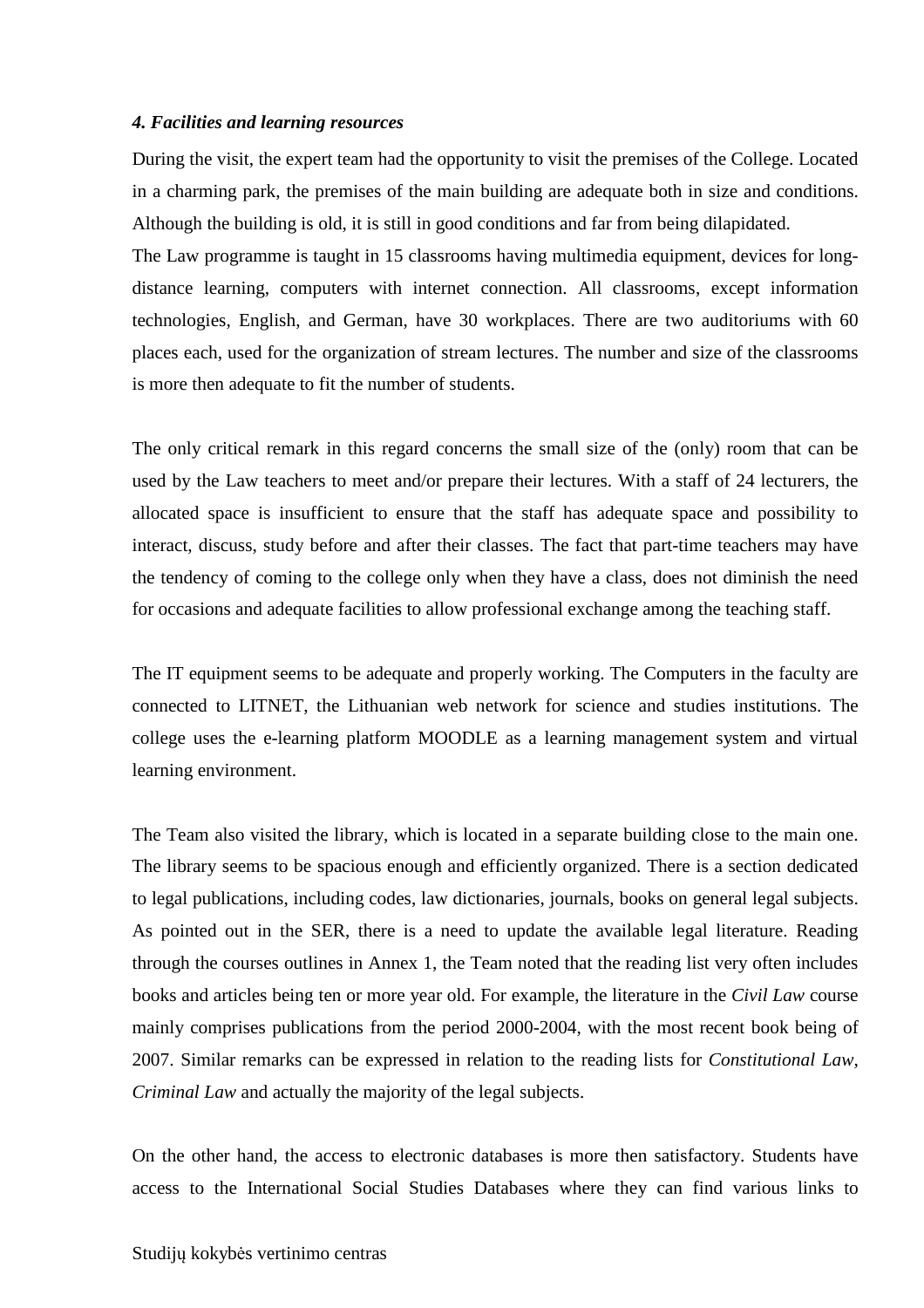#### *4. Facilities and learning resources*

During the visit, the expert team had the opportunity to visit the premises of the College. Located in a charming park, the premises of the main building are adequate both in size and conditions. Although the building is old, it is still in good conditions and far from being dilapidated.

The Law programme is taught in 15 classrooms having multimedia equipment, devices for longdistance learning, computers with internet connection. All classrooms, except information technologies, English, and German, have 30 workplaces. There are two auditoriums with 60 places each, used for the organization of stream lectures. The number and size of the classrooms is more then adequate to fit the number of students.

The only critical remark in this regard concerns the small size of the (only) room that can be used by the Law teachers to meet and/or prepare their lectures. With a staff of 24 lecturers, the allocated space is insufficient to ensure that the staff has adequate space and possibility to interact, discuss, study before and after their classes. The fact that part-time teachers may have the tendency of coming to the college only when they have a class, does not diminish the need for occasions and adequate facilities to allow professional exchange among the teaching staff.

The IT equipment seems to be adequate and properly working. The Computers in the faculty are connected to LITNET, the Lithuanian web network for science and studies institutions. The college uses the e-learning platform MOODLE as a learning management system and virtual learning environment.

The Team also visited the library, which is located in a separate building close to the main one. The library seems to be spacious enough and efficiently organized. There is a section dedicated to legal publications, including codes, law dictionaries, journals, books on general legal subjects. As pointed out in the SER, there is a need to update the available legal literature. Reading through the courses outlines in Annex 1, the Team noted that the reading list very often includes books and articles being ten or more year old. For example, the literature in the *Civil Law* course mainly comprises publications from the period 2000-2004, with the most recent book being of 2007. Similar remarks can be expressed in relation to the reading lists for *Constitutional Law*, *Criminal Law* and actually the majority of the legal subjects.

On the other hand, the access to electronic databases is more then satisfactory. Students have access to the International Social Studies Databases where they can find various links to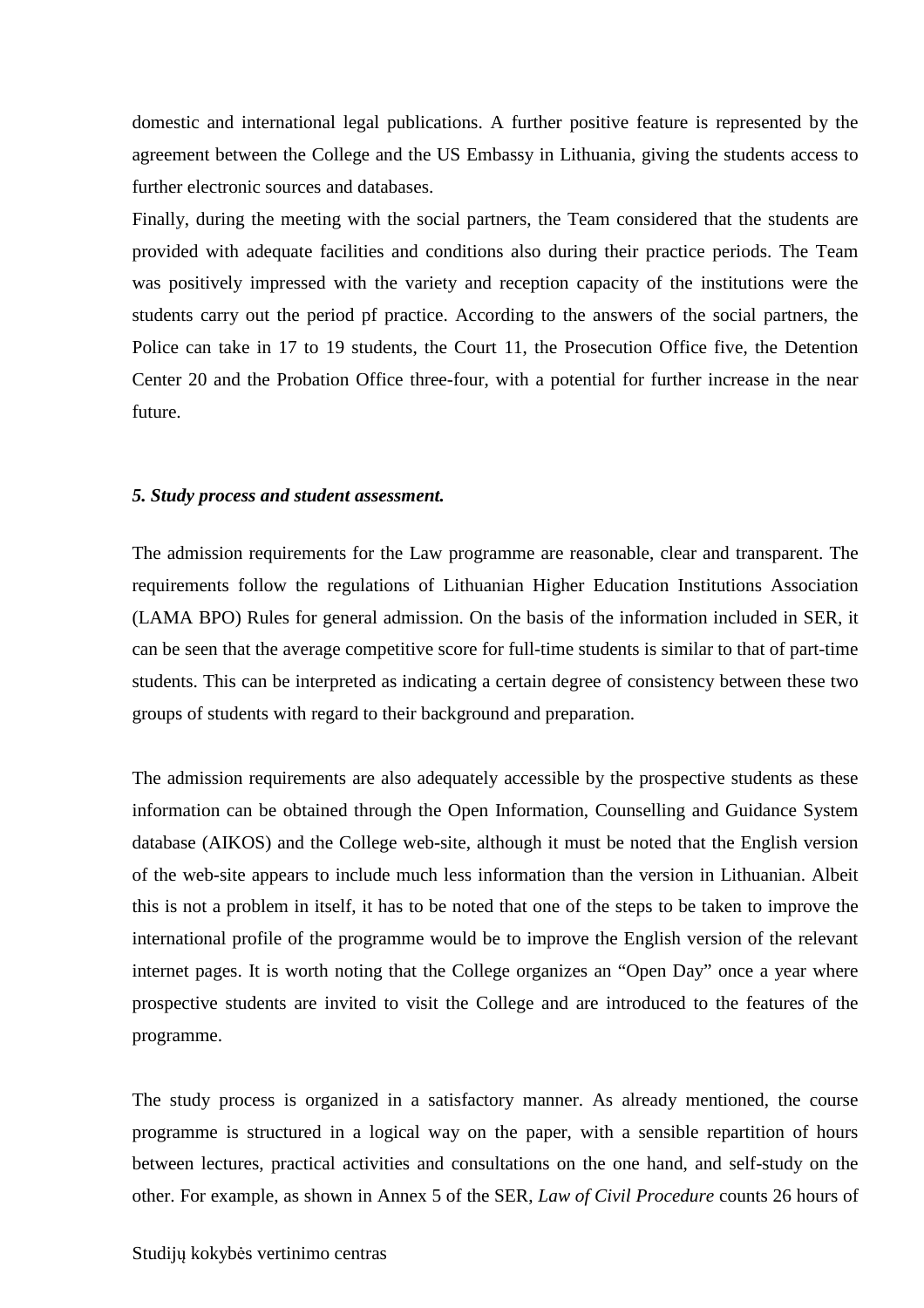domestic and international legal publications. A further positive feature is represented by the agreement between the College and the US Embassy in Lithuania, giving the students access to further electronic sources and databases.

Finally, during the meeting with the social partners, the Team considered that the students are provided with adequate facilities and conditions also during their practice periods. The Team was positively impressed with the variety and reception capacity of the institutions were the students carry out the period pf practice. According to the answers of the social partners, the Police can take in 17 to 19 students, the Court 11, the Prosecution Office five, the Detention Center 20 and the Probation Office three-four, with a potential for further increase in the near future.

#### *5. Study process and student assessment.*

The admission requirements for the Law programme are reasonable, clear and transparent. The requirements follow the regulations of Lithuanian Higher Education Institutions Association (LAMA BPO) Rules for general admission. On the basis of the information included in SER, it can be seen that the average competitive score for full-time students is similar to that of part-time students. This can be interpreted as indicating a certain degree of consistency between these two groups of students with regard to their background and preparation.

The admission requirements are also adequately accessible by the prospective students as these information can be obtained through the Open Information, Counselling and Guidance System database (AIKOS) and the College web-site, although it must be noted that the English version of the web-site appears to include much less information than the version in Lithuanian. Albeit this is not a problem in itself, it has to be noted that one of the steps to be taken to improve the international profile of the programme would be to improve the English version of the relevant internet pages. It is worth noting that the College organizes an "Open Day" once a year where prospective students are invited to visit the College and are introduced to the features of the programme.

The study process is organized in a satisfactory manner. As already mentioned, the course programme is structured in a logical way on the paper, with a sensible repartition of hours between lectures, practical activities and consultations on the one hand, and self-study on the other. For example, as shown in Annex 5 of the SER, *Law of Civil Procedure* counts 26 hours of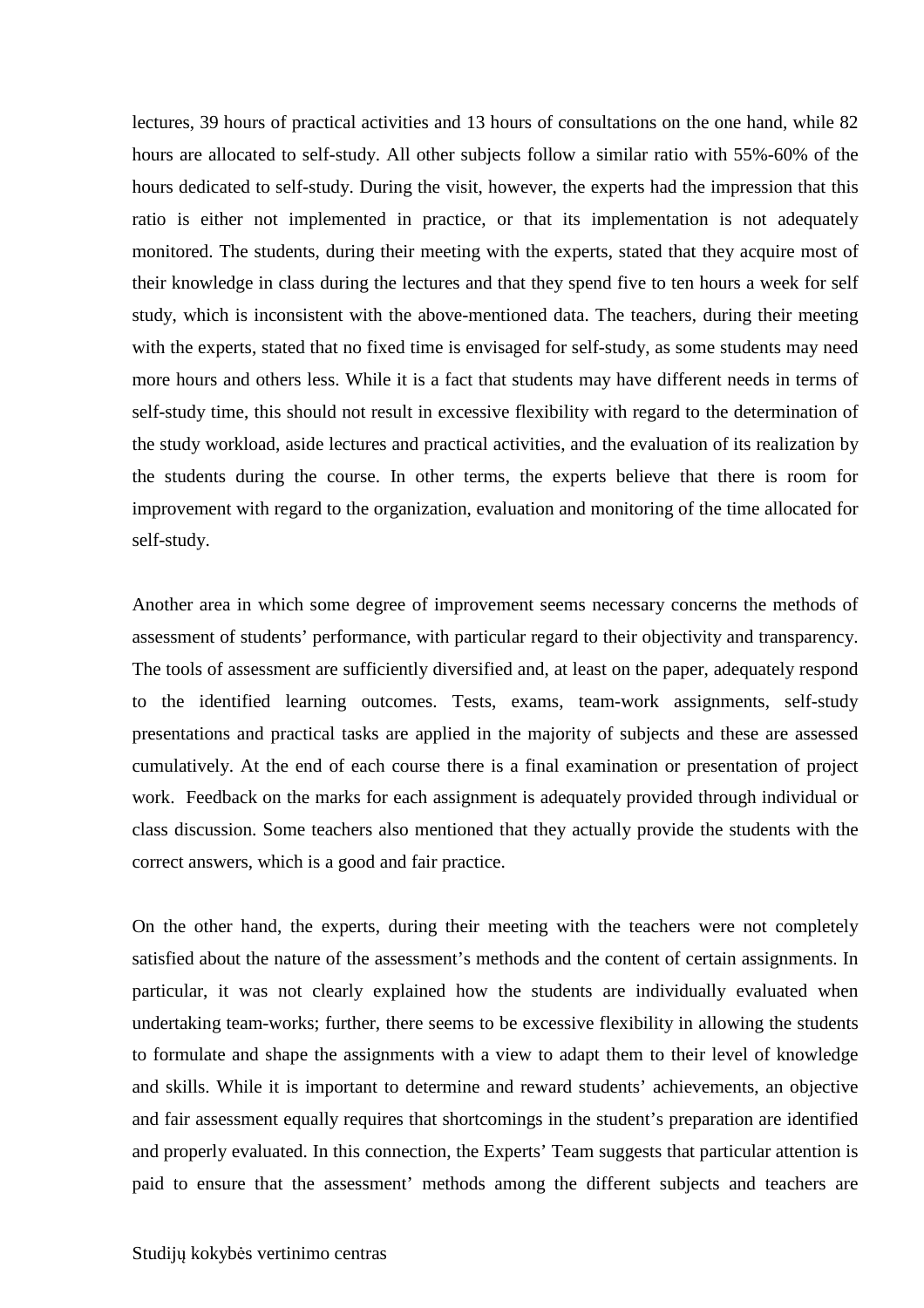lectures, 39 hours of practical activities and 13 hours of consultations on the one hand, while 82 hours are allocated to self-study. All other subjects follow a similar ratio with 55%-60% of the hours dedicated to self-study. During the visit, however, the experts had the impression that this ratio is either not implemented in practice, or that its implementation is not adequately monitored. The students, during their meeting with the experts, stated that they acquire most of their knowledge in class during the lectures and that they spend five to ten hours a week for self study, which is inconsistent with the above-mentioned data. The teachers, during their meeting with the experts, stated that no fixed time is envisaged for self-study, as some students may need more hours and others less. While it is a fact that students may have different needs in terms of self-study time, this should not result in excessive flexibility with regard to the determination of the study workload, aside lectures and practical activities, and the evaluation of its realization by the students during the course. In other terms, the experts believe that there is room for improvement with regard to the organization, evaluation and monitoring of the time allocated for self-study.

Another area in which some degree of improvement seems necessary concerns the methods of assessment of students' performance, with particular regard to their objectivity and transparency. The tools of assessment are sufficiently diversified and, at least on the paper, adequately respond to the identified learning outcomes. Tests, exams, team-work assignments, self-study presentations and practical tasks are applied in the majority of subjects and these are assessed cumulatively. At the end of each course there is a final examination or presentation of project work. Feedback on the marks for each assignment is adequately provided through individual or class discussion. Some teachers also mentioned that they actually provide the students with the correct answers, which is a good and fair practice.

On the other hand, the experts, during their meeting with the teachers were not completely satisfied about the nature of the assessment's methods and the content of certain assignments. In particular, it was not clearly explained how the students are individually evaluated when undertaking team-works; further, there seems to be excessive flexibility in allowing the students to formulate and shape the assignments with a view to adapt them to their level of knowledge and skills. While it is important to determine and reward students' achievements, an objective and fair assessment equally requires that shortcomings in the student's preparation are identified and properly evaluated. In this connection, the Experts' Team suggests that particular attention is paid to ensure that the assessment' methods among the different subjects and teachers are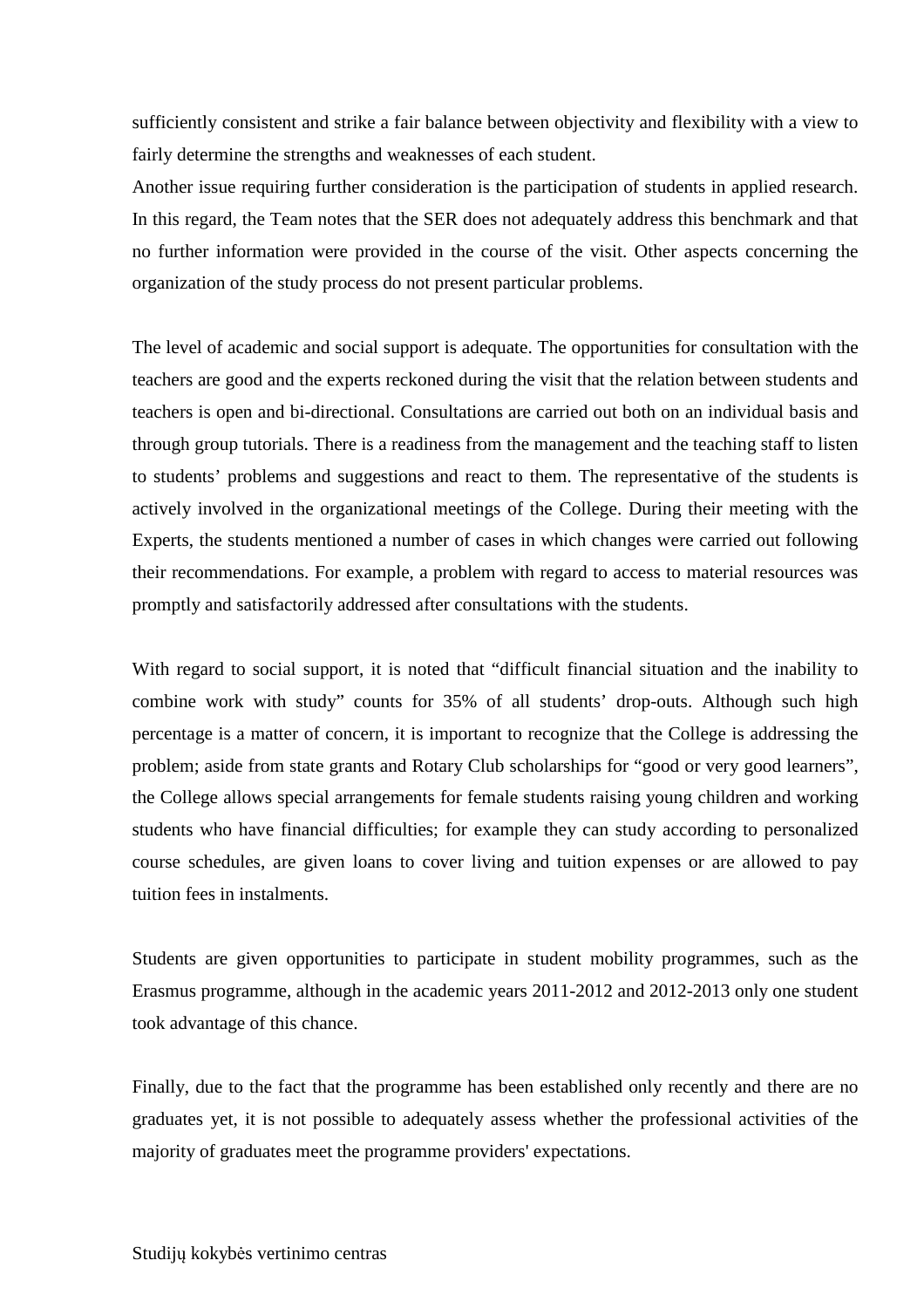sufficiently consistent and strike a fair balance between objectivity and flexibility with a view to fairly determine the strengths and weaknesses of each student.

Another issue requiring further consideration is the participation of students in applied research. In this regard, the Team notes that the SER does not adequately address this benchmark and that no further information were provided in the course of the visit. Other aspects concerning the organization of the study process do not present particular problems.

The level of academic and social support is adequate. The opportunities for consultation with the teachers are good and the experts reckoned during the visit that the relation between students and teachers is open and bi-directional. Consultations are carried out both on an individual basis and through group tutorials. There is a readiness from the management and the teaching staff to listen to students' problems and suggestions and react to them. The representative of the students is actively involved in the organizational meetings of the College. During their meeting with the Experts, the students mentioned a number of cases in which changes were carried out following their recommendations. For example, a problem with regard to access to material resources was promptly and satisfactorily addressed after consultations with the students.

With regard to social support, it is noted that "difficult financial situation and the inability to combine work with study" counts for 35% of all students' drop-outs. Although such high percentage is a matter of concern, it is important to recognize that the College is addressing the problem; aside from state grants and Rotary Club scholarships for "good or very good learners", the College allows special arrangements for female students raising young children and working students who have financial difficulties; for example they can study according to personalized course schedules, are given loans to cover living and tuition expenses or are allowed to pay tuition fees in instalments.

Students are given opportunities to participate in student mobility programmes, such as the Erasmus programme, although in the academic years 2011-2012 and 2012-2013 only one student took advantage of this chance.

Finally, due to the fact that the programme has been established only recently and there are no graduates yet, it is not possible to adequately assess whether the professional activities of the majority of graduates meet the programme providers' expectations.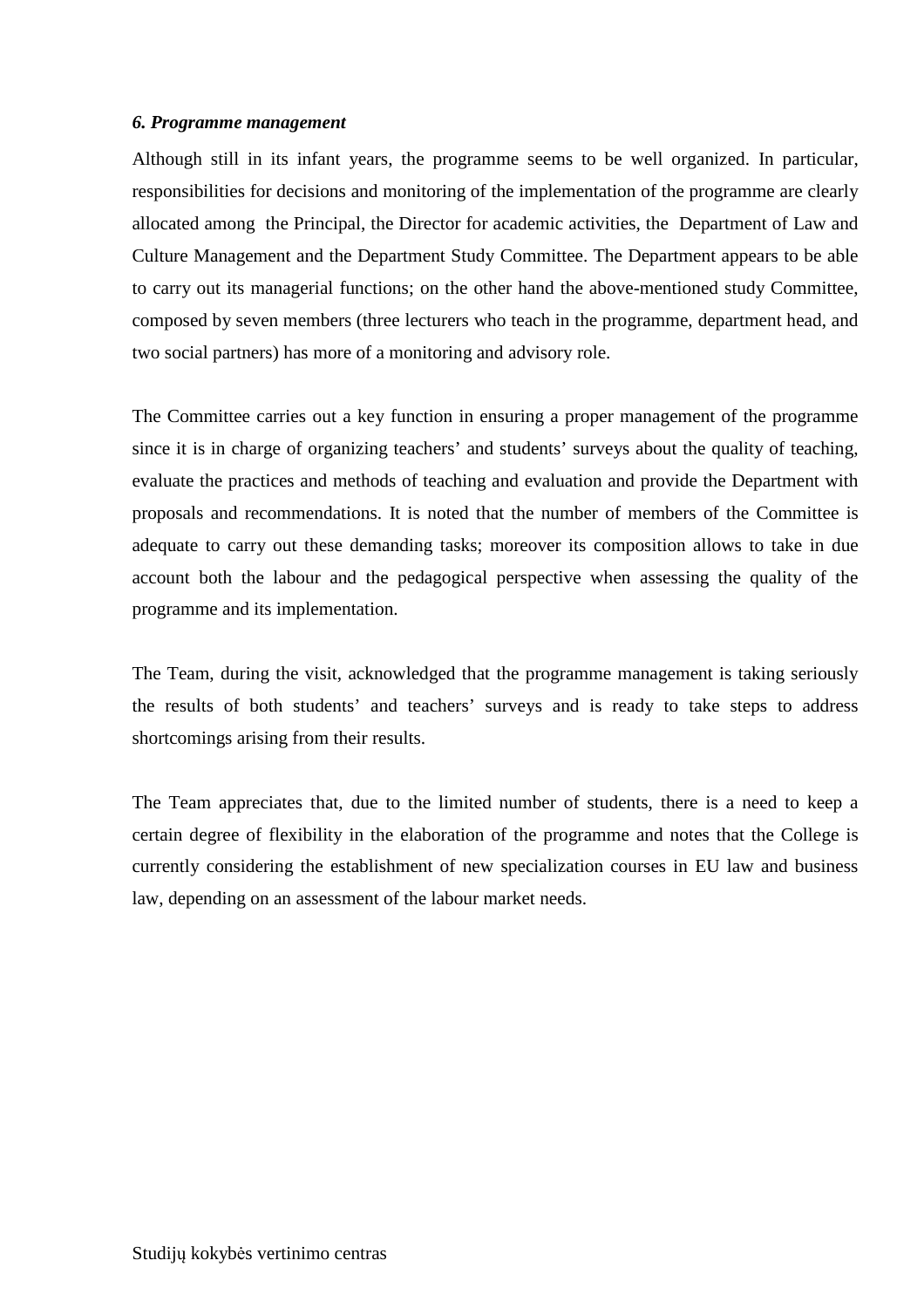#### *6. Programme management*

Although still in its infant years, the programme seems to be well organized. In particular, responsibilities for decisions and monitoring of the implementation of the programme are clearly allocated among the Principal, the Director for academic activities, the Department of Law and Culture Management and the Department Study Committee. The Department appears to be able to carry out its managerial functions; on the other hand the above-mentioned study Committee, composed by seven members (three lecturers who teach in the programme, department head, and two social partners) has more of a monitoring and advisory role.

The Committee carries out a key function in ensuring a proper management of the programme since it is in charge of organizing teachers' and students' surveys about the quality of teaching, evaluate the practices and methods of teaching and evaluation and provide the Department with proposals and recommendations. It is noted that the number of members of the Committee is adequate to carry out these demanding tasks; moreover its composition allows to take in due account both the labour and the pedagogical perspective when assessing the quality of the programme and its implementation.

The Team, during the visit, acknowledged that the programme management is taking seriously the results of both students' and teachers' surveys and is ready to take steps to address shortcomings arising from their results.

The Team appreciates that, due to the limited number of students, there is a need to keep a certain degree of flexibility in the elaboration of the programme and notes that the College is currently considering the establishment of new specialization courses in EU law and business law, depending on an assessment of the labour market needs.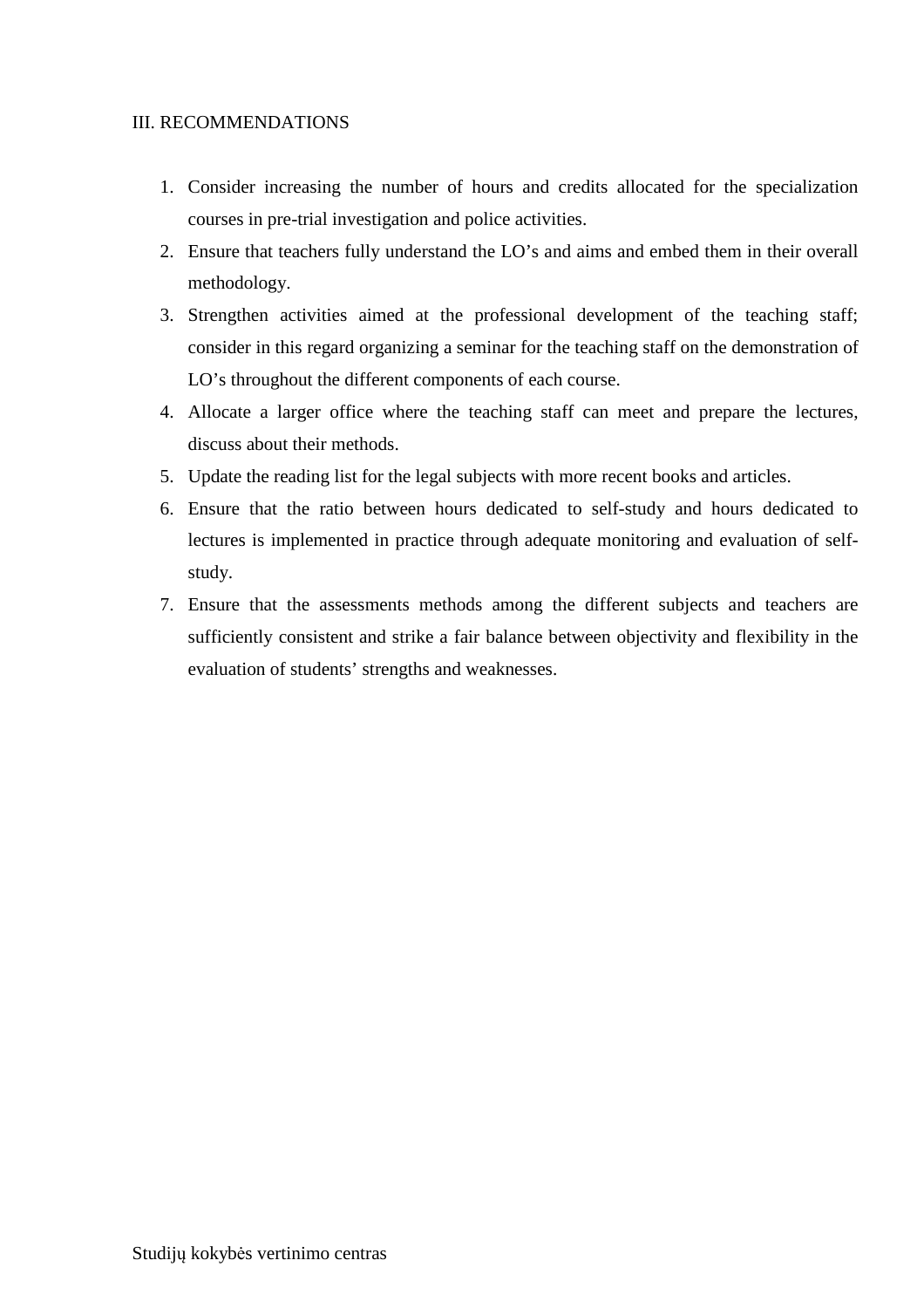#### III. RECOMMENDATIONS

- 1. Consider increasing the number of hours and credits allocated for the specialization courses in pre-trial investigation and police activities.
- 2. Ensure that teachers fully understand the LO's and aims and embed them in their overall methodology.
- 3. Strengthen activities aimed at the professional development of the teaching staff; consider in this regard organizing a seminar for the teaching staff on the demonstration of LO's throughout the different components of each course.
- 4. Allocate a larger office where the teaching staff can meet and prepare the lectures, discuss about their methods.
- 5. Update the reading list for the legal subjects with more recent books and articles.
- 6. Ensure that the ratio between hours dedicated to self-study and hours dedicated to lectures is implemented in practice through adequate monitoring and evaluation of selfstudy.
- 7. Ensure that the assessments methods among the different subjects and teachers are sufficiently consistent and strike a fair balance between objectivity and flexibility in the evaluation of students' strengths and weaknesses.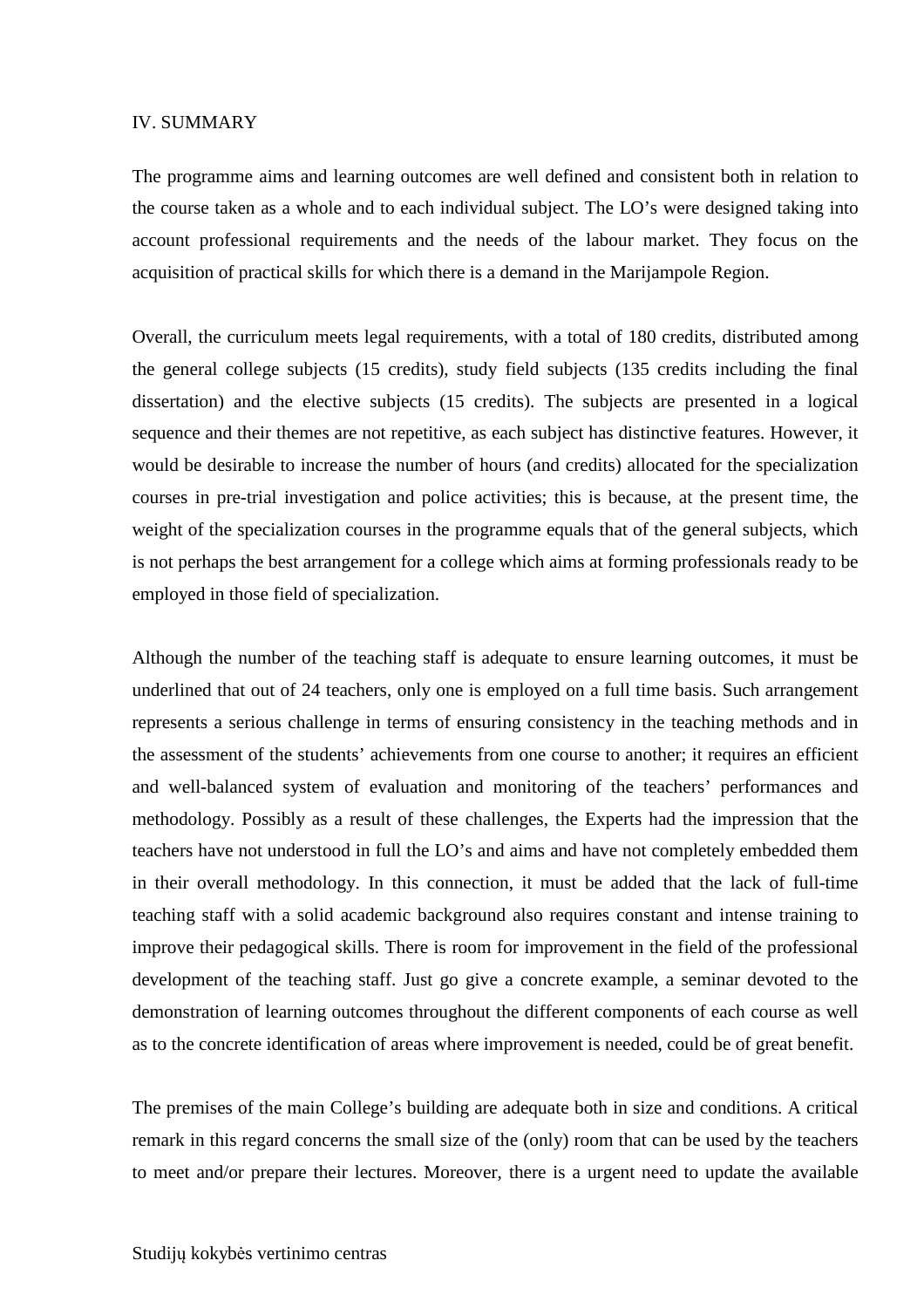#### IV. SUMMARY

The programme aims and learning outcomes are well defined and consistent both in relation to the course taken as a whole and to each individual subject. The LO's were designed taking into account professional requirements and the needs of the labour market. They focus on the acquisition of practical skills for which there is a demand in the Marijampole Region.

Overall, the curriculum meets legal requirements, with a total of 180 credits, distributed among the general college subjects (15 credits), study field subjects (135 credits including the final dissertation) and the elective subjects (15 credits). The subjects are presented in a logical sequence and their themes are not repetitive, as each subject has distinctive features. However, it would be desirable to increase the number of hours (and credits) allocated for the specialization courses in pre-trial investigation and police activities; this is because, at the present time, the weight of the specialization courses in the programme equals that of the general subjects, which is not perhaps the best arrangement for a college which aims at forming professionals ready to be employed in those field of specialization.

Although the number of the teaching staff is adequate to ensure learning outcomes, it must be underlined that out of 24 teachers, only one is employed on a full time basis. Such arrangement represents a serious challenge in terms of ensuring consistency in the teaching methods and in the assessment of the students' achievements from one course to another; it requires an efficient and well-balanced system of evaluation and monitoring of the teachers' performances and methodology. Possibly as a result of these challenges, the Experts had the impression that the teachers have not understood in full the LO's and aims and have not completely embedded them in their overall methodology. In this connection, it must be added that the lack of full-time teaching staff with a solid academic background also requires constant and intense training to improve their pedagogical skills. There is room for improvement in the field of the professional development of the teaching staff. Just go give a concrete example, a seminar devoted to the demonstration of learning outcomes throughout the different components of each course as well as to the concrete identification of areas where improvement is needed, could be of great benefit.

The premises of the main College's building are adequate both in size and conditions. A critical remark in this regard concerns the small size of the (only) room that can be used by the teachers to meet and/or prepare their lectures. Moreover, there is a urgent need to update the available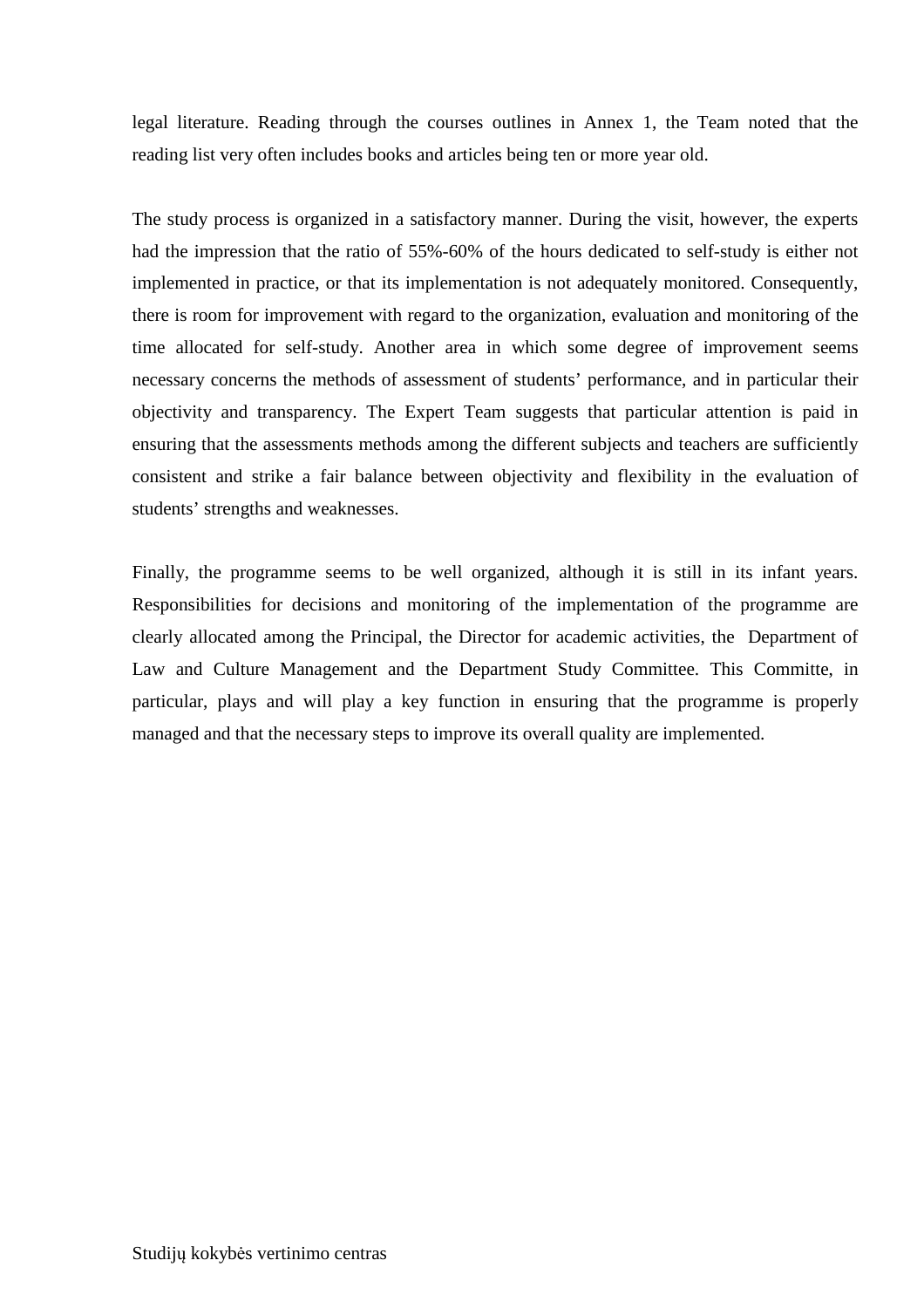legal literature. Reading through the courses outlines in Annex 1, the Team noted that the reading list very often includes books and articles being ten or more year old.

The study process is organized in a satisfactory manner. During the visit, however, the experts had the impression that the ratio of 55%-60% of the hours dedicated to self-study is either not implemented in practice, or that its implementation is not adequately monitored. Consequently, there is room for improvement with regard to the organization, evaluation and monitoring of the time allocated for self-study. Another area in which some degree of improvement seems necessary concerns the methods of assessment of students' performance, and in particular their objectivity and transparency. The Expert Team suggests that particular attention is paid in ensuring that the assessments methods among the different subjects and teachers are sufficiently consistent and strike a fair balance between objectivity and flexibility in the evaluation of students' strengths and weaknesses.

Finally, the programme seems to be well organized, although it is still in its infant years. Responsibilities for decisions and monitoring of the implementation of the programme are clearly allocated among the Principal, the Director for academic activities, the Department of Law and Culture Management and the Department Study Committee. This Committe, in particular, plays and will play a key function in ensuring that the programme is properly managed and that the necessary steps to improve its overall quality are implemented.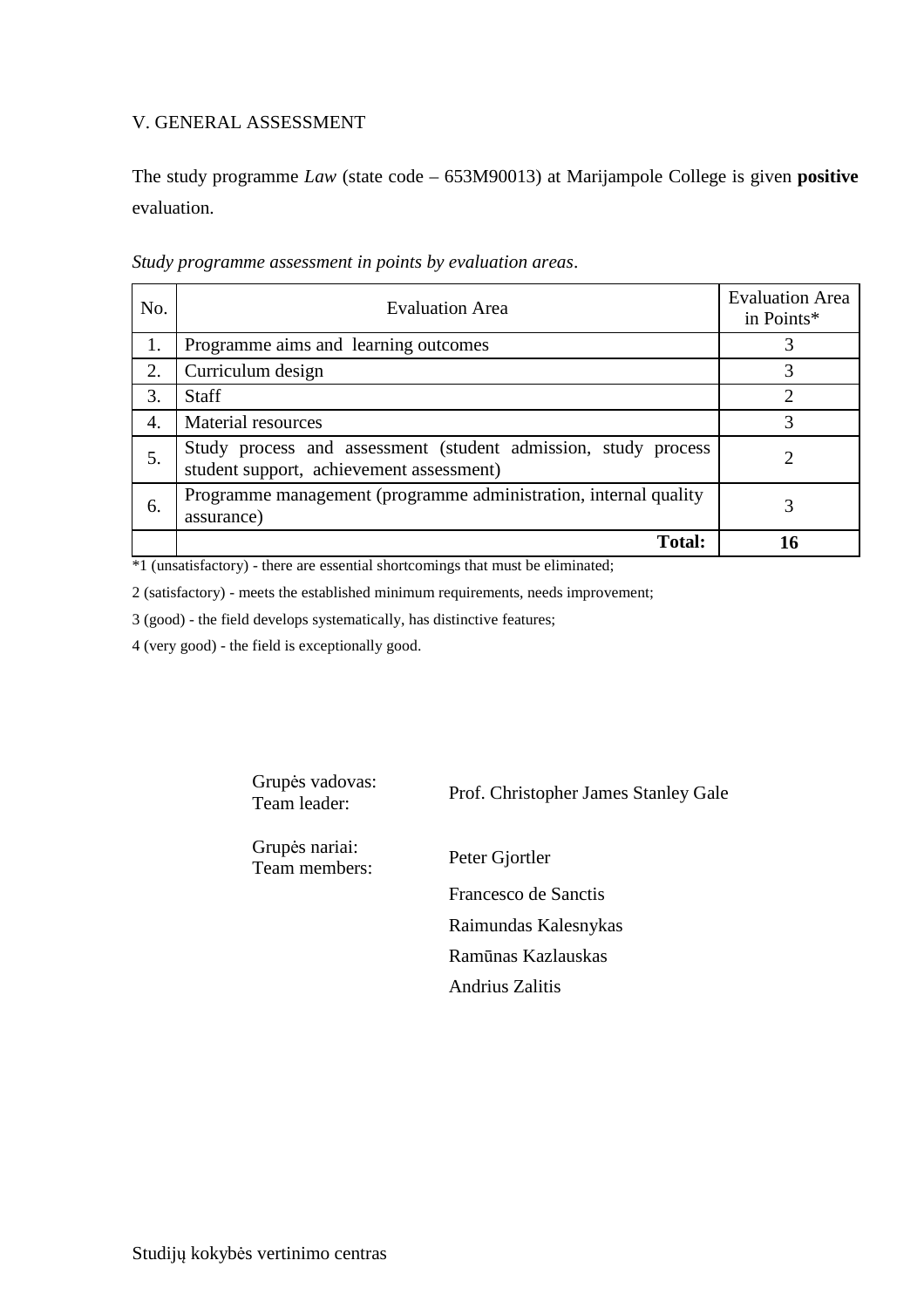### V. GENERAL ASSESSMENT

The study programme *Law* (state code – 653M90013) at Marijampole College is given **positive**  evaluation.

| No. | <b>Evaluation Area</b>                                                                                     | <b>Evaluation Area</b><br>in Points* |
|-----|------------------------------------------------------------------------------------------------------------|--------------------------------------|
| 1.  | Programme aims and learning outcomes                                                                       |                                      |
| 2.  | Curriculum design                                                                                          | 3                                    |
| 3.  | <b>Staff</b>                                                                                               | ∍                                    |
| 4.  | <b>Material resources</b>                                                                                  | 3                                    |
| 5.  | Study process and assessment (student admission, study process<br>student support, achievement assessment) |                                      |
| 6.  | Programme management (programme administration, internal quality<br>assurance)                             | 3                                    |
|     | <b>Total:</b>                                                                                              |                                      |

*Study programme assessment in points by evaluation areas*.

\*1 (unsatisfactory) - there are essential shortcomings that must be eliminated;

2 (satisfactory) - meets the established minimum requirements, needs improvement;

3 (good) - the field develops systematically, has distinctive features;

4 (very good) - the field is exceptionally good.

Grupės vadovas:<br>Team leader:

Prof. Christopher James Stanley Gale

Grupės nariai: Team members: Peter Gjortler

 Francesco de Sanctis Raimundas Kalesnykas Ramūnas Kazlauskas Andrius Zalitis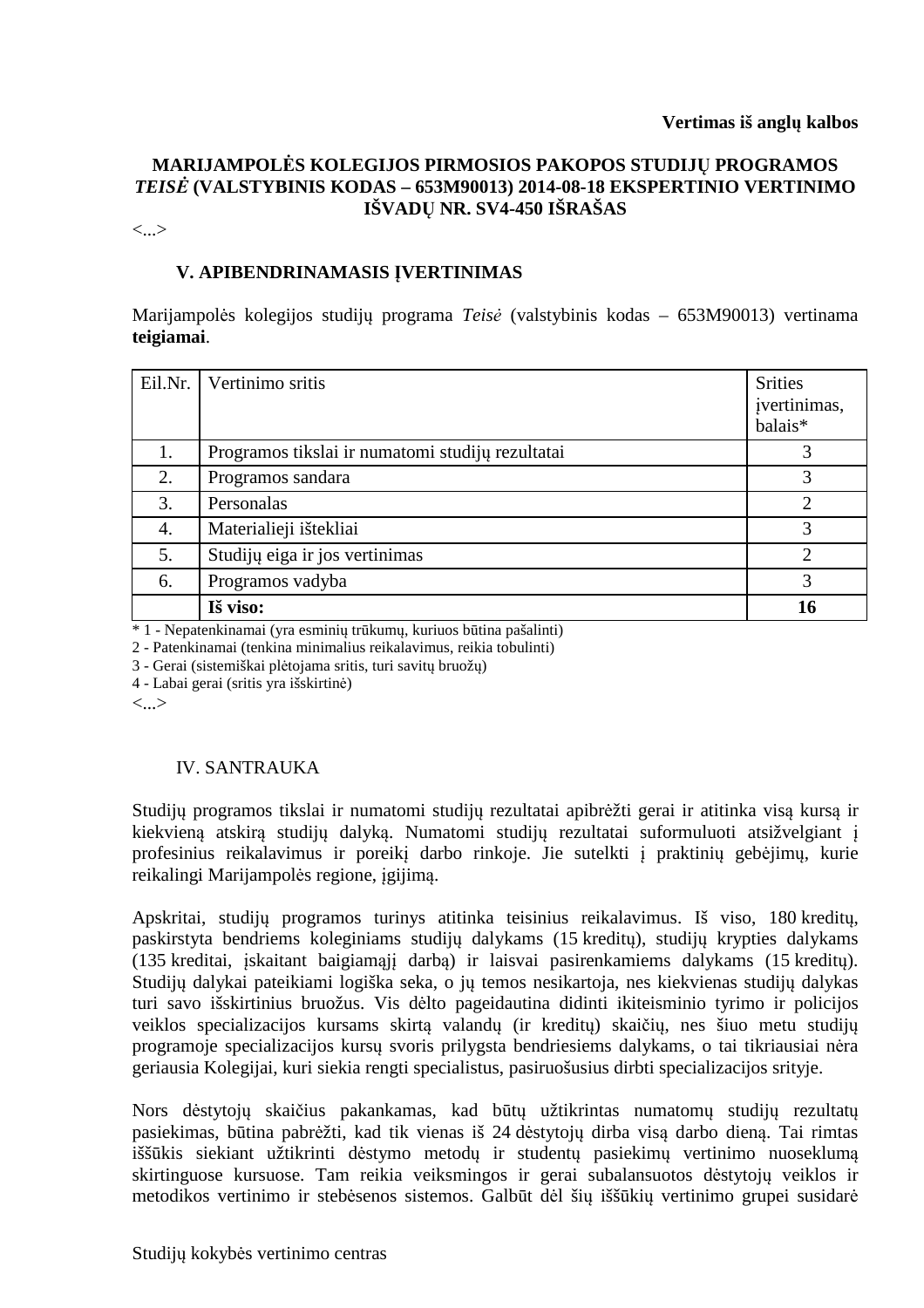## **MARIJAMPOLĖS KOLEGIJOS PIRMOSIOS PAKOPOS STUDIJŲ PROGRAMOS**  *TEISĖ* **(VALSTYBINIS KODAS – 653M90013) 2014-08-18 EKSPERTINIO VERTINIMO IŠVADŲ NR. SV4-450 IŠRAŠAS**

<...>

# **V. APIBENDRINAMASIS ĮVERTINIMAS**

Marijampolės kolegijos studijų programa *Teisė* (valstybinis kodas – 653M90013) vertinama **teigiamai**.

| Eil.Nr. | Vertinimo sritis                                 | <b>Srities</b><br>jvertinimas,<br>balais* |
|---------|--------------------------------------------------|-------------------------------------------|
| 1.      | Programos tikslai ir numatomi studijų rezultatai | 3                                         |
| 2.      | Programos sandara                                | 3                                         |
| 3.      | Personalas                                       | ി                                         |
| 4.      | Materialieji ištekliai                           | 3                                         |
| 5.      | Studijų eiga ir jos vertinimas                   | റ                                         |
| 6.      | Programos vadyba                                 | 3                                         |
|         | Iš viso:                                         | 16                                        |

\* 1 - Nepatenkinamai (yra esminių trūkumų, kuriuos būtina pašalinti)

2 - Patenkinamai (tenkina minimalius reikalavimus, reikia tobulinti)

3 - Gerai (sistemiškai plėtojama sritis, turi savitų bruožų)

4 - Labai gerai (sritis yra išskirtinė)

<...>

#### IV. SANTRAUKA

Studijų programos tikslai ir numatomi studijų rezultatai apibrėžti gerai ir atitinka visą kursą ir kiekvieną atskirą studijų dalyką. Numatomi studijų rezultatai suformuluoti atsižvelgiant į profesinius reikalavimus ir poreikį darbo rinkoje. Jie sutelkti į praktinių gebėjimų, kurie reikalingi Marijampolės regione, įgijimą.

Apskritai, studijų programos turinys atitinka teisinius reikalavimus. Iš viso, 180 kreditų, paskirstyta bendriems koleginiams studijų dalykams (15 kreditų), studijų krypties dalykams (135 kreditai, įskaitant baigiamąjį darbą) ir laisvai pasirenkamiems dalykams (15 kreditų). Studijų dalykai pateikiami logiška seka, o jų temos nesikartoja, nes kiekvienas studijų dalykas turi savo išskirtinius bruožus. Vis dėlto pageidautina didinti ikiteisminio tyrimo ir policijos veiklos specializacijos kursams skirtą valandų (ir kreditų) skaičių, nes šiuo metu studijų programoje specializacijos kursų svoris prilygsta bendriesiems dalykams, o tai tikriausiai nėra geriausia Kolegijai, kuri siekia rengti specialistus, pasiruošusius dirbti specializacijos srityje.

Nors dėstytojų skaičius pakankamas, kad būtų užtikrintas numatomų studijų rezultatų pasiekimas, būtina pabrėžti, kad tik vienas iš 24 dėstytojų dirba visą darbo dieną. Tai rimtas iššūkis siekiant užtikrinti dėstymo metodų ir studentų pasiekimų vertinimo nuoseklumą skirtinguose kursuose. Tam reikia veiksmingos ir gerai subalansuotos dėstytojų veiklos ir metodikos vertinimo ir stebėsenos sistemos. Galbūt dėl šių iššūkių vertinimo grupei susidarė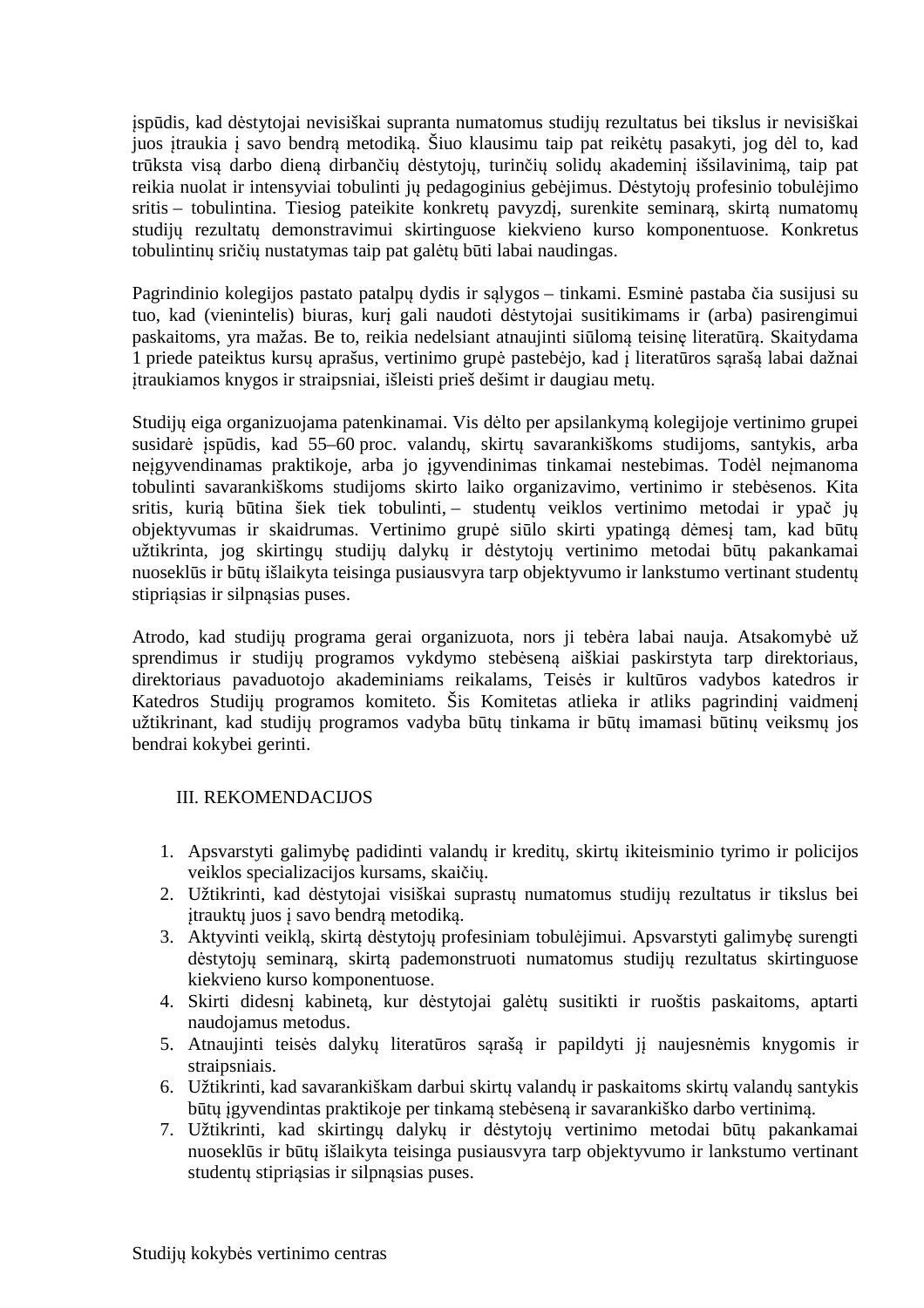įspūdis, kad dėstytojai nevisiškai supranta numatomus studijų rezultatus bei tikslus ir nevisiškai juos įtraukia į savo bendrą metodiką. Šiuo klausimu taip pat reikėtų pasakyti, jog dėl to, kad trūksta visą darbo dieną dirbančių dėstytojų, turinčių solidų akademinį išsilavinimą, taip pat reikia nuolat ir intensyviai tobulinti jų pedagoginius gebėjimus. Dėstytojų profesinio tobulėjimo sritis – tobulintina. Tiesiog pateikite konkretų pavyzdį, surenkite seminarą, skirtą numatomų studijų rezultatų demonstravimui skirtinguose kiekvieno kurso komponentuose. Konkretus tobulintinų sričių nustatymas taip pat galėtų būti labai naudingas.

Pagrindinio kolegijos pastato patalpų dydis ir sąlygos – tinkami. Esminė pastaba čia susijusi su tuo, kad (vienintelis) biuras, kurį gali naudoti dėstytojai susitikimams ir (arba) pasirengimui paskaitoms, yra mažas. Be to, reikia nedelsiant atnaujinti siūlomą teisinę literatūrą. Skaitydama 1 priede pateiktus kursų aprašus, vertinimo grupė pastebėjo, kad į literatūros sąrašą labai dažnai įtraukiamos knygos ir straipsniai, išleisti prieš dešimt ir daugiau metų.

Studijų eiga organizuojama patenkinamai. Vis dėlto per apsilankymą kolegijoje vertinimo grupei susidarė įspūdis, kad 55–60 proc. valandų, skirtų savarankiškoms studijoms, santykis, arba neįgyvendinamas praktikoje, arba jo įgyvendinimas tinkamai nestebimas. Todėl neįmanoma tobulinti savarankiškoms studijoms skirto laiko organizavimo, vertinimo ir stebėsenos. Kita sritis, kurią būtina šiek tiek tobulinti, – studentų veiklos vertinimo metodai ir ypač jų objektyvumas ir skaidrumas. Vertinimo grupė siūlo skirti ypatingą dėmesį tam, kad būtų užtikrinta, jog skirtingų studijų dalykų ir dėstytojų vertinimo metodai būtų pakankamai nuoseklūs ir būtų išlaikyta teisinga pusiausvyra tarp objektyvumo ir lankstumo vertinant studentų stipriąsias ir silpnąsias puses.

Atrodo, kad studijų programa gerai organizuota, nors ji tebėra labai nauja. Atsakomybė už sprendimus ir studijų programos vykdymo stebėseną aiškiai paskirstyta tarp direktoriaus, direktoriaus pavaduotojo akademiniams reikalams, Teisės ir kultūros vadybos katedros ir Katedros Studijų programos komiteto. Šis Komitetas atlieka ir atliks pagrindinį vaidmenį užtikrinant, kad studijų programos vadyba būtų tinkama ir būtų imamasi būtinų veiksmų jos bendrai kokybei gerinti.

#### III. REKOMENDACIJOS

- 1. Apsvarstyti galimybę padidinti valandų ir kreditų, skirtų ikiteisminio tyrimo ir policijos veiklos specializacijos kursams, skaičių.
- 2. Užtikrinti, kad dėstytojai visiškai suprastų numatomus studijų rezultatus ir tikslus bei įtrauktų juos į savo bendrą metodiką.
- 3. Aktyvinti veiklą, skirtą dėstytojų profesiniam tobulėjimui. Apsvarstyti galimybę surengti dėstytojų seminarą, skirtą pademonstruoti numatomus studijų rezultatus skirtinguose kiekvieno kurso komponentuose.
- 4. Skirti didesnį kabinetą, kur dėstytojai galėtų susitikti ir ruoštis paskaitoms, aptarti naudojamus metodus.
- 5. Atnaujinti teisės dalykų literatūros sąrašą ir papildyti jį naujesnėmis knygomis ir straipsniais.
- 6. Užtikrinti, kad savarankiškam darbui skirtų valandų ir paskaitoms skirtų valandų santykis būtų įgyvendintas praktikoje per tinkamą stebėseną ir savarankiško darbo vertinimą.
- 7. Užtikrinti, kad skirtingų dalykų ir dėstytojų vertinimo metodai būtų pakankamai nuoseklūs ir būtų išlaikyta teisinga pusiausvyra tarp objektyvumo ir lankstumo vertinant studentų stipriąsias ir silpnąsias puses.